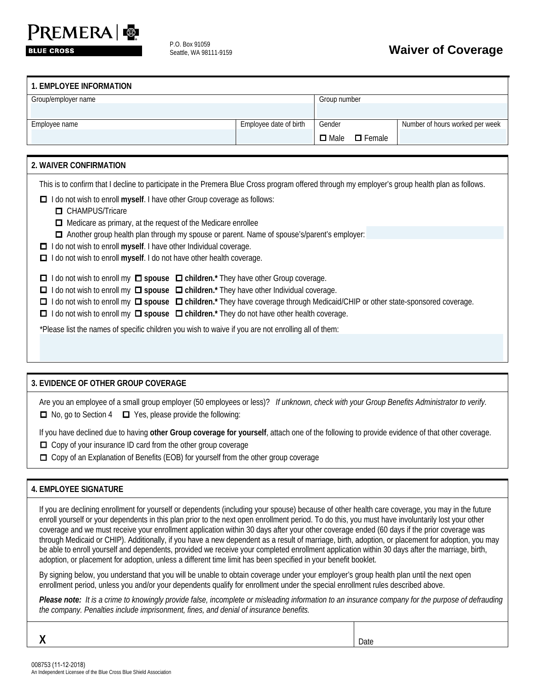# PREMERA &

**BLUE CROSS** 

P.O. Box 91059

# P.O. Box 91039<br>Seattle, WA 98111-9159<br>**Waiver of Coverage**

| 1. EMPLOYEE INFORMATION |                        |                              |                                 |
|-------------------------|------------------------|------------------------------|---------------------------------|
| Group/employer name     |                        | Group number                 |                                 |
|                         |                        |                              |                                 |
| Employee name           | Employee date of birth | Gender                       | Number of hours worked per week |
|                         |                        | $\Box$ Male<br>$\Box$ Female |                                 |

| 2. WAIVER CONFIRMATION                                                                                                                                                                                                                                                                                                                                                                                                                          |
|-------------------------------------------------------------------------------------------------------------------------------------------------------------------------------------------------------------------------------------------------------------------------------------------------------------------------------------------------------------------------------------------------------------------------------------------------|
| This is to confirm that I decline to participate in the Premera Blue Cross program offered through my employer's group health plan as follows.                                                                                                                                                                                                                                                                                                  |
| I do not wish to enroll myself. I have other Group coverage as follows:<br>□<br><b>O</b> CHAMPUS/Tricare<br>$\Box$ Medicare as primary, at the request of the Medicare enrollee                                                                                                                                                                                                                                                                 |
| □ Another group health plan through my spouse or parent. Name of spouse's/parent's employer:<br>I do not wish to enroll myself. I have other Individual coverage.<br>$\Box$                                                                                                                                                                                                                                                                     |
| I do not wish to enroll myself. I do not have other health coverage.<br>$\Box$                                                                                                                                                                                                                                                                                                                                                                  |
| $\Box$ I do not wish to enroll my $\Box$ spouse $\Box$ children.* They have other Group coverage.<br>I do not wish to enroll my $\Box$ spouse $\Box$ children.* They have other Individual coverage.<br>0<br>I do not wish to enroll my □ spouse □ children.* They have coverage through Medicaid/CHIP or other state-sponsored coverage.<br>□<br>I do not wish to enroll my □ spouse □ children.* They do not have other health coverage.<br>□ |
| *Please list the names of specific children you wish to waive if you are not enrolling all of them:                                                                                                                                                                                                                                                                                                                                             |

# **3. EVIDENCE OF OTHER GROUP COVERAGE**

Are you an employee of a small group employer (50 employees or less)? *If unknown, check with your Group Benefits Administrator to verify.*   $\Box$  No, go to Section 4  $\Box$  Yes, please provide the following:

If you have declined due to having **other Group coverage for yourself**, attach one of the following to provide evidence of that other coverage.

- □ Copy of your insurance ID card from the other group coverage
- Copy of an Explanation of Benefits (EOB) for yourself from the other group coverage

# **4. EMPLOYEE SIGNATURE**

If you are declining enrollment for yourself or dependents (including your spouse) because of other health care coverage, you may in the future enroll yourself or your dependents in this plan prior to the next open enrollment period. To do this, you must have involuntarily lost your other coverage and we must receive your enrollment application within 30 days after your other coverage ended (60 days if the prior coverage was through Medicaid or CHIP). Additionally, if you have a new dependent as a result of marriage, birth, adoption, or placement for adoption, you may be able to enroll yourself and dependents, provided we receive your completed enrollment application within 30 days after the marriage, birth, adoption, or placement for adoption, unless a different time limit has been specified in your benefit booklet.

By signing below, you understand that you will be unable to obtain coverage under your employer's group health plan until the next open enrollment period, unless you and/or your dependents qualify for enrollment under the special enrollment rules described above.

Please note: It is a crime to knowingly provide false, incomplete or misleading information to an insurance company for the purpose of defrauding *the company. Penalties include imprisonment, fines, and denial of insurance benefits.*

| X | <b>Date</b> |
|---|-------------|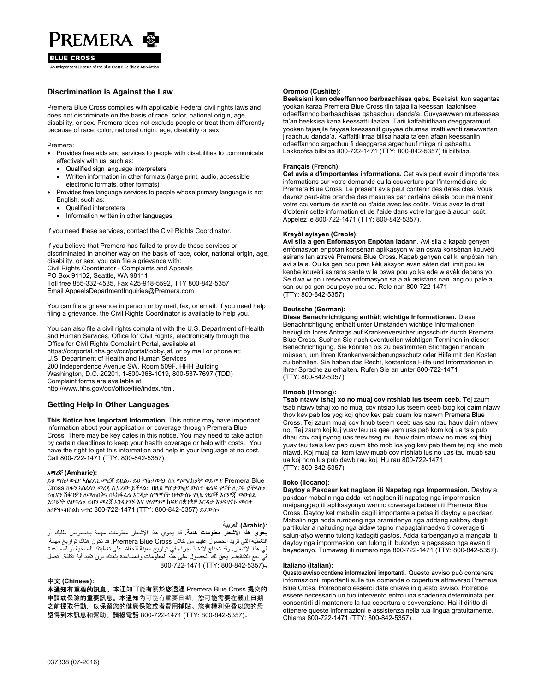# PREMERA &

#### **BLUE CROSS**

.<br>An Independent Licensee of the Blue Cross Blue Shield Associatio

### **Discrimination is Against the Law**

Premera Blue Cross complies with applicable Federal civil rights laws and does not discriminate on the basis of race, color, national origin, age, disability, or sex. Premera does not exclude people or treat them differently because of race, color, national origin, age, disability or sex.

Premera:

- Provides free aids and services to people with disabilities to communicate effectively with us, such as:
	- Qualified sign language interpreters
	- Written information in other formats (large print, audio, accessible electronic formats, other formats)
- Provides free language services to people whose primary language is not English, such as:
	- Qualified interpreters
	- Information written in other languages

If you need these services, contact the Civil Rights Coordinator.

If you believe that Premera has failed to provide these services or discriminated in another way on the basis of race, color, national origin, age, disability, or sex, you can file a grievance with: Civil Rights Coordinator - Complaints and Appeals PO Box 91102, Seattle, WA 98111 Toll free 855-332-4535, Fax 425-918-5592, TTY 800-842-5357 Email AppealsDepartmentInquiries@Premera.com

You can file a grievance in person or by mail, fax, or email. If you need help filing a grievance, the Civil Rights Coordinator is available to help you.

You can also file a civil rights complaint with the U.S. Department of Health and Human Services, Office for Civil Rights, electronically through the Office for Civil Rights Complaint Portal, available at https://ocrportal.hhs.gov/ocr/portal/lobby.jsf, or by mail or phone at: U.S. Department of Health and Human Services 200 Independence Avenue SW, Room 509F, HHH Building Washington, D.C. 20201, 1-800-368-1019, 800-537-7697 (TDD)

Complaint forms are available at http://www.hhs.gov/ocr/office/file/index.html.

# **Getting Help in Other Languages**

**This Notice has Important Information.** This notice may have important information about your application or coverage through Premera Blue Cross. There may be key dates in this notice. You may need to take action by certain deadlines to keep your health coverage or help with costs. You have the right to get this information and help in your language at no cost. Call 800-722-1471 (TTY: 800-842-5357).

#### አማሪኛ **(Amharic):**

ይህ ማስታወቂያ አስፈላጊ መረጃ ይዟል። ይህ ማስታወቂያ ስለ ማመልከቻዎ ወይም የ Premera Blue Cross ሽፋን አስፈላጊ መረጃ ሊኖረው ይችላል። በዚህ ማስታወቂያ ውስጥ ቁልፍ ቀኖች ሊኖሩ ይችላሉ። የጤናን ሽፋንዎን ለመጠበቅና በአከፋፈል እርዳታ ለማግኘት በተውሰኑ የጊዜ ገደቦች እርምጃ መውሰድ ይገባዎት ይሆናል። ይህን መረጃ እንዲያገኙ እና ያለምንም ክፍያ በቋንቋዎ እርዳታ እንዲያገኙ መብት አለዎት።በስልክ ቁጥር 800-722-1471 (TTY: 800-842-5357) ይደውሉ።

#### **:(Arabic (العربية**

**يحوي ھذا اإلشعار معلومات ھامة.** قد يحوي ھذا اإلشعار معلومات مھمة بخصوص طلبك أو التغطية التي تريد الحصول عليھا من خالل Cross Blue Premera. قد تكون ھناك تواريخ مھمة في ھذا اإلشعار. وقد تحتاج التخاذ إجراء في تواريخ معينة للحفاظ على تغطيتك الصحية أو للمساعدة فيّ دفع التكاليف يحق لك الحصول على هذه المعلوّمات والمساعدة بلغتك دون تكبد أية تكلفة. اتصل  $800 - 722 - 1471$  (TTY: 800-842-5357)

#### 中文 **(Chinese):**

本通知有重要的訊息。本通知可能有關於您透過 Premera Blue Cross 提交的 申請或保險的重要訊息。本通知內可能有重要日期。您可能需要在截止日期 之前採取行動, 以保留您的健康保險或者費用補貼。您有權利免費以您的母 語得到本訊息和幫助。請撥電話 800-722-1471 (TTY: 800-842-5357)。

#### **Oromoo (Cushite):**

**Beeksisni kun odeeffannoo barbaachisaa qaba.** Beeksisti kun sagantaa yookan karaa Premera Blue Cross tiin tajaajila keessan ilaalchisee odeeffannoo barbaachisaa qabaachuu danda'a. Guyyaawwan murteessaa ta'an beeksisa kana keessatti ilaalaa. Tarii kaffaltiidhaan deeggaramuuf yookan tajaajila fayyaa keessaniif guyyaa dhumaa irratti wanti raawwattan jiraachuu danda'a. Kaffaltii irraa bilisa haala ta'een afaan keessaniin odeeffannoo argachuu fi deeggarsa argachuuf mirga ni qabaattu. Lakkoofsa bilbilaa 800-722-1471 (TTY: 800-842-5357) tii bilbilaa.

#### **Français (French):**

**Cet avis a d'importantes informations.** Cet avis peut avoir d'importantes informations sur votre demande ou la couverture par l'intermédiaire de Premera Blue Cross. Le présent avis peut contenir des dates clés. Vous devrez peut-être prendre des mesures par certains délais pour maintenir votre couverture de santé ou d'aide avec les coûts. Vous avez le droit d'obtenir cette information et de l'aide dans votre langue à aucun coût. Appelez le 800-722-1471 (TTY: 800-842-5357).

#### **Kreyòl ayisyen (Creole):**

**Avi sila a gen Enfòmasyon Enpòtan ladann**. Avi sila a kapab genyen enfòmasyon enpòtan konsènan aplikasyon w lan oswa konsènan kouvèti asirans lan atravè Premera Blue Cross. Kapab genyen dat ki enpòtan nan avi sila a. Ou ka gen pou pran kèk aksyon avan sèten dat limit pou ka kenbe kouvèti asirans sante w la oswa pou yo ka ede w avèk depans yo. Se dwa w pou resevwa enfòmasyon sa a ak asistans nan lang ou pale a, san ou pa gen pou peye pou sa. Rele nan 800-722-1471 (TTY: 800-842-5357).

#### **Deutsche (German):**

**Diese Benachrichtigung enthält wichtige Informationen.** Diese Benachrichtigung enthält unter Umständen wichtige Informationen bezüglich Ihres Antrags auf Krankenversicherungsschutz durch Premera Blue Cross. Suchen Sie nach eventuellen wichtigen Terminen in dieser Benachrichtigung. Sie könnten bis zu bestimmten Stichtagen handeln müssen, um Ihren Krankenversicherungsschutz oder Hilfe mit den Kosten zu behalten. Sie haben das Recht, kostenlose Hilfe und Informationen in Ihrer Sprache zu erhalten. Rufen Sie an unter 800-722-1471 (TTY: 800-842-5357).

#### **Hmoob (Hmong):**

**Tsab ntawv tshaj xo no muaj cov ntshiab lus tseem ceeb.** Tej zaum tsab ntawv tshaj xo no muaj cov ntsiab lus tseem ceeb txog koj daim ntawv thov kev pab los yog koj qhov kev pab cuam los ntawm Premera Blue Cross. Tej zaum muaj cov hnub tseem ceeb uas sau rau hauv daim ntawv no. Tej zaum koj kuj yuav tau ua qee yam uas peb kom koj ua tsis pub dhau cov caij nyoog uas teev tseg rau hauv daim ntawv no mas koj thiaj yuav tau txais kev pab cuam kho mob los yog kev pab them tej nqi kho mob ntawd. Koj muaj cai kom lawv muab cov ntshiab lus no uas tau muab sau ua koj hom lus pub dawb rau koj. Hu rau 800-722-1471 (TTY: 800-842-5357).

#### **Iloko (Ilocano):**

**Daytoy a Pakdaar ket naglaon iti Napateg nga Impormasion.** Daytoy a pakdaar mabalin nga adda ket naglaon iti napateg nga impormasion maipanggep iti apliksayonyo wenno coverage babaen iti Premera Blue Cross. Daytoy ket mabalin dagiti importante a petsa iti daytoy a pakdaar. Mabalin nga adda rumbeng nga aramidenyo nga addang sakbay dagiti partikular a naituding nga aldaw tapno mapagtalinaedyo ti coverage ti salun-atyo wenno tulong kadagiti gastos. Adda karbenganyo a mangala iti daytoy nga impormasion ken tulong iti bukodyo a pagsasao nga awan ti bayadanyo. Tumawag iti numero nga 800-722-1471 (TTY: 800-842-5357).

#### **Italiano (Italian):**

**Questo avviso contiene informazioni importanti.** Questo avviso può contenere informazioni importanti sulla tua domanda o copertura attraverso Premera Blue Cross. Potrebbero esserci date chiave in questo avviso. Potrebbe essere necessario un tuo intervento entro una scadenza determinata per consentirti di mantenere la tua copertura o sovvenzione. Hai il diritto di ottenere queste informazioni e assistenza nella tua lingua gratuitamente. Chiama 800-722-1471 (TTY: 800-842-5357).